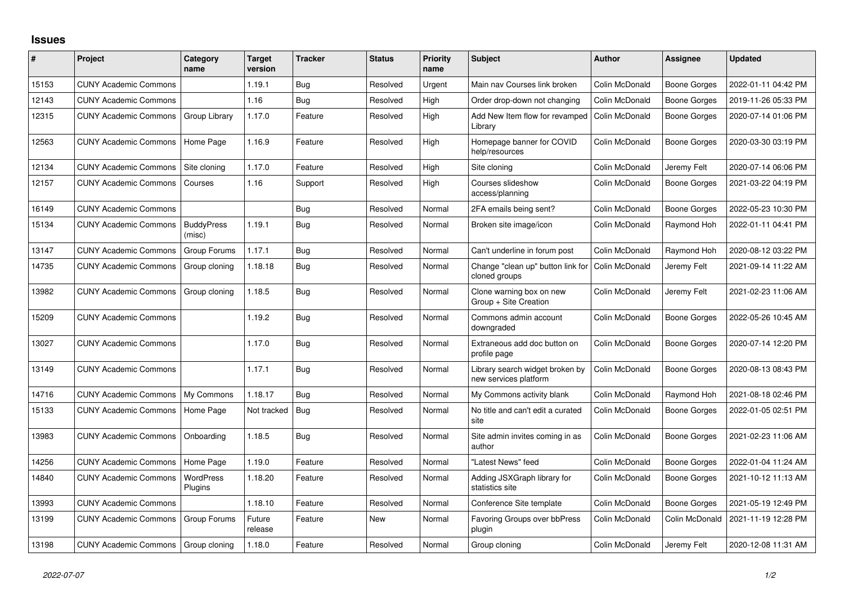## **Issues**

| ∦     | Project                      | Category<br>name            | <b>Target</b><br>version | <b>Tracker</b> | <b>Status</b> | <b>Priority</b><br>name | <b>Subject</b>                                           | <b>Author</b>  | Assignee            | <b>Updated</b>      |
|-------|------------------------------|-----------------------------|--------------------------|----------------|---------------|-------------------------|----------------------------------------------------------|----------------|---------------------|---------------------|
| 15153 | <b>CUNY Academic Commons</b> |                             | 1.19.1                   | Bug            | Resolved      | Urgent                  | Main nav Courses link broken                             | Colin McDonald | <b>Boone Gorges</b> | 2022-01-11 04:42 PM |
| 12143 | <b>CUNY Academic Commons</b> |                             | 1.16                     | Bug            | Resolved      | High                    | Order drop-down not changing                             | Colin McDonald | Boone Gorges        | 2019-11-26 05:33 PM |
| 12315 | <b>CUNY Academic Commons</b> | Group Library               | 1.17.0                   | Feature        | Resolved      | High                    | Add New Item flow for revamped<br>Library                | Colin McDonald | Boone Gorges        | 2020-07-14 01:06 PM |
| 12563 | <b>CUNY Academic Commons</b> | Home Page                   | 1.16.9                   | Feature        | Resolved      | High                    | Homepage banner for COVID<br>help/resources              | Colin McDonald | Boone Gorges        | 2020-03-30 03:19 PM |
| 12134 | <b>CUNY Academic Commons</b> | Site cloning                | 1.17.0                   | Feature        | Resolved      | High                    | Site cloning                                             | Colin McDonald | Jeremy Felt         | 2020-07-14 06:06 PM |
| 12157 | <b>CUNY Academic Commons</b> | Courses                     | 1.16                     | Support        | Resolved      | High                    | Courses slideshow<br>access/planning                     | Colin McDonald | <b>Boone Gorges</b> | 2021-03-22 04:19 PM |
| 16149 | <b>CUNY Academic Commons</b> |                             |                          | <b>Bug</b>     | Resolved      | Normal                  | 2FA emails being sent?                                   | Colin McDonald | <b>Boone Gorges</b> | 2022-05-23 10:30 PM |
| 15134 | <b>CUNY Academic Commons</b> | <b>BuddyPress</b><br>(misc) | 1.19.1                   | Bug            | Resolved      | Normal                  | Broken site image/icon                                   | Colin McDonald | Raymond Hoh         | 2022-01-11 04:41 PM |
| 13147 | <b>CUNY Academic Commons</b> | Group Forums                | 1.17.1                   | <b>Bug</b>     | Resolved      | Normal                  | Can't underline in forum post                            | Colin McDonald | Raymond Hoh         | 2020-08-12 03:22 PM |
| 14735 | <b>CUNY Academic Commons</b> | Group cloning               | 1.18.18                  | <b>Bug</b>     | Resolved      | Normal                  | Change "clean up" button link for<br>cloned groups       | Colin McDonald | Jeremy Felt         | 2021-09-14 11:22 AM |
| 13982 | <b>CUNY Academic Commons</b> | Group cloning               | 1.18.5                   | <b>Bug</b>     | Resolved      | Normal                  | Clone warning box on new<br>Group + Site Creation        | Colin McDonald | Jeremy Felt         | 2021-02-23 11:06 AM |
| 15209 | <b>CUNY Academic Commons</b> |                             | 1.19.2                   | <b>Bug</b>     | Resolved      | Normal                  | Commons admin account<br>downgraded                      | Colin McDonald | Boone Gorges        | 2022-05-26 10:45 AM |
| 13027 | <b>CUNY Academic Commons</b> |                             | 1.17.0                   | <b>Bug</b>     | Resolved      | Normal                  | Extraneous add doc button on<br>profile page             | Colin McDonald | Boone Gorges        | 2020-07-14 12:20 PM |
| 13149 | <b>CUNY Academic Commons</b> |                             | 1.17.1                   | <b>Bug</b>     | Resolved      | Normal                  | Library search widget broken by<br>new services platform | Colin McDonald | Boone Gorges        | 2020-08-13 08:43 PM |
| 14716 | <b>CUNY Academic Commons</b> | My Commons                  | 1.18.17                  | <b>Bug</b>     | Resolved      | Normal                  | My Commons activity blank                                | Colin McDonald | Raymond Hoh         | 2021-08-18 02:46 PM |
| 15133 | <b>CUNY Academic Commons</b> | Home Page                   | Not tracked              | <b>Bug</b>     | Resolved      | Normal                  | No title and can't edit a curated<br>site                | Colin McDonald | Boone Gorges        | 2022-01-05 02:51 PM |
| 13983 | <b>CUNY Academic Commons</b> | Onboarding                  | 1.18.5                   | <b>Bug</b>     | Resolved      | Normal                  | Site admin invites coming in as<br>author                | Colin McDonald | Boone Gorges        | 2021-02-23 11:06 AM |
| 14256 | <b>CUNY Academic Commons</b> | Home Page                   | 1.19.0                   | Feature        | Resolved      | Normal                  | 'Latest News" feed                                       | Colin McDonald | <b>Boone Gorges</b> | 2022-01-04 11:24 AM |
| 14840 | <b>CUNY Academic Commons</b> | WordPress<br>Plugins        | 1.18.20                  | Feature        | Resolved      | Normal                  | Adding JSXGraph library for<br>statistics site           | Colin McDonald | Boone Gorges        | 2021-10-12 11:13 AM |
| 13993 | <b>CUNY Academic Commons</b> |                             | 1.18.10                  | Feature        | Resolved      | Normal                  | Conference Site template                                 | Colin McDonald | Boone Gorges        | 2021-05-19 12:49 PM |
| 13199 | <b>CUNY Academic Commons</b> | Group Forums                | Future<br>release        | Feature        | New           | Normal                  | <b>Favoring Groups over bbPress</b><br>plugin            | Colin McDonald | Colin McDonald      | 2021-11-19 12:28 PM |
| 13198 | <b>CUNY Academic Commons</b> | Group cloning               | 1.18.0                   | Feature        | Resolved      | Normal                  | Group cloning                                            | Colin McDonald | Jeremy Felt         | 2020-12-08 11:31 AM |